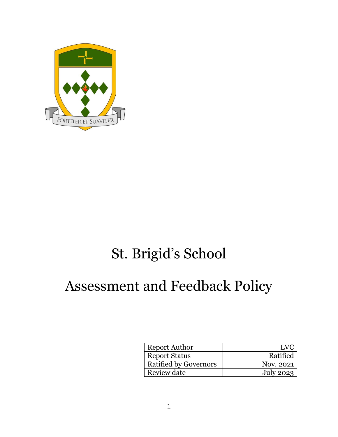

# St. Brigid's School

# Assessment and Feedback Policy

| Report Author                | I V(      |
|------------------------------|-----------|
| <b>Report Status</b>         | Ratified  |
| <b>Ratified by Governors</b> | Nov. 2021 |
| Review date                  | July 2023 |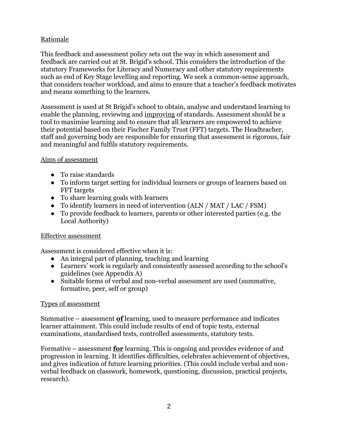# Rationale

This feedback and assessment policy sets out the way in which assessment and feedback are carried out at St. Brigid's school. This considers the introduction of the statutory Frameworks for Literacy and Numeracy and other statutory requirements such as end of Key Stage levelling and reporting. We seek a common-sense approach, that considers teacher workload, and aims to ensure that a teacher's feedback motivates and means something to the learners.

Assessment is used at St Brigid's school to obtain, analyse and understand learning to enable the planning, reviewing and improving of standards. Assessment should be a tool to maximise learning and to ensure that all learners are empowered to achieve their potential based on their Fischer Family Trust (FFT) targets. The Headteacher, staff and governing body are responsible for ensuring that assessment is rigorous, fair and meaningful and fulfils statutory requirements.

#### Aims of assessment

- To raise standards
- To inform target setting for individual learners or groups of learners based on FFT targets
- To share learning goals with learners
- To identify learners in need of intervention (ALN / MAT / LAC / FSM)
- To provide feedback to learners, parents or other interested parties (e.g. the Local Authority)

# Effective assessment

Assessment is considered effective when it is:

- An integral part of planning, teaching and learning
- Learners' work is regularly and consistently assessed according to the school's guidelines (see Appendix A)
- Suitable forms of verbal and non-verbal assessment are used (summative, formative, peer, self or group)

# Types of assessment

Summative – assessment **of** learning, used to measure performance and indicates learner attainment. This could include results of end of topic tests, external examinations, standardised tests, controlled assessments, statutory tests.

Formative – assessment **for** learning. This is ongoing and provides evidence of and progression in learning. It identifies difficulties, celebrates achievement of objectives, and gives indication of future learning priorities. (This could include verbal and nonverbal feedback on classwork, homework, questioning, discussion, practical projects, research).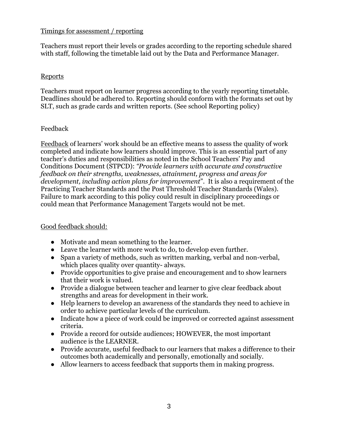#### Timings for assessment / reporting

Teachers must report their levels or grades according to the reporting schedule shared with staff, following the timetable laid out by the Data and Performance Manager.

#### Reports

Teachers must report on learner progress according to the yearly reporting timetable. Deadlines should be adhered to. Reporting should conform with the formats set out by SLT, such as grade cards and written reports. (See school Reporting policy)

#### Feedback

Feedback of learners' work should be an effective means to assess the quality of work completed and indicate how learners should improve. This is an essential part of any teacher's duties and responsibilities as noted in the School Teachers' Pay and Conditions Document (STPCD): *"Provide learners with accurate and constructive feedback on their strengths, weaknesses, attainment, progress and areas for development, including action plans for improvement*". It is also a requirement of the Practicing Teacher Standards and the Post Threshold Teacher Standards (Wales). Failure to mark according to this policy could result in disciplinary proceedings or could mean that Performance Management Targets would not be met.

# Good feedback should:

- Motivate and mean something to the learner.
- Leave the learner with more work to do, to develop even further.
- Span a variety of methods, such as written marking, verbal and non-verbal, which places quality over quantity- always.
- Provide opportunities to give praise and encouragement and to show learners that their work is valued.
- Provide a dialogue between teacher and learner to give clear feedback about strengths and areas for development in their work.
- Help learners to develop an awareness of the standards they need to achieve in order to achieve particular levels of the curriculum.
- Indicate how a piece of work could be improved or corrected against assessment criteria.
- Provide a record for outside audiences; HOWEVER, the most important audience is the LEARNER.
- Provide accurate, useful feedback to our learners that makes a difference to their outcomes both academically and personally, emotionally and socially.
- Allow learners to access feedback that supports them in making progress.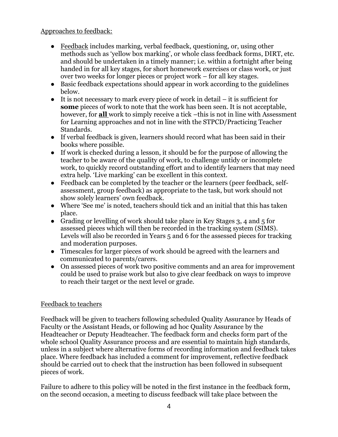#### Approaches to feedback:

- Feedback includes marking, verbal feedback, questioning, or, using other methods such as 'yellow box marking', or whole class feedback forms, DIRT, etc. and should be undertaken in a timely manner; i.e. within a fortnight after being handed in for all key stages, for short homework exercises or class work, or just over two weeks for longer pieces or project work – for all key stages.
- Basic feedback expectations should appear in work according to the guidelines below.
- It is not necessary to mark every piece of work in detail it is sufficient for **some** pieces of work to note that the work has been seen. It is not acceptable, however, for **all** work to simply receive a tick –this is not in line with Assessment for Learning approaches and not in line with the STPCD/Practicing Teacher Standards.
- If verbal feedback is given, learners should record what has been said in their books where possible.
- If work is checked during a lesson, it should be for the purpose of allowing the teacher to be aware of the quality of work, to challenge untidy or incomplete work, to quickly record outstanding effort and to identify learners that may need extra help. 'Live marking' can be excellent in this context.
- Feedback can be completed by the teacher or the learners (peer feedback, selfassessment, group feedback) as appropriate to the task, but work should not show solely learners' own feedback.
- Where 'See me' is noted, teachers should tick and an initial that this has taken place.
- Grading or levelling of work should take place in Key Stages 3, 4 and 5 for assessed pieces which will then be recorded in the tracking system (SIMS). Levels will also be recorded in Years 5 and 6 for the assessed pieces for tracking and moderation purposes.
- Timescales for larger pieces of work should be agreed with the learners and communicated to parents/carers.
- On assessed pieces of work two positive comments and an area for improvement could be used to praise work but also to give clear feedback on ways to improve to reach their target or the next level or grade.

# Feedback to teachers

Feedback will be given to teachers following scheduled Quality Assurance by Heads of Faculty or the Assistant Heads, or following ad hoc Quality Assurance by the Headteacher or Deputy Headteacher. The feedback form and checks form part of the whole school Quality Assurance process and are essential to maintain high standards, unless in a subject where alternative forms of recording information and feedback takes place. Where feedback has included a comment for improvement, reflective feedback should be carried out to check that the instruction has been followed in subsequent pieces of work.

Failure to adhere to this policy will be noted in the first instance in the feedback form, on the second occasion, a meeting to discuss feedback will take place between the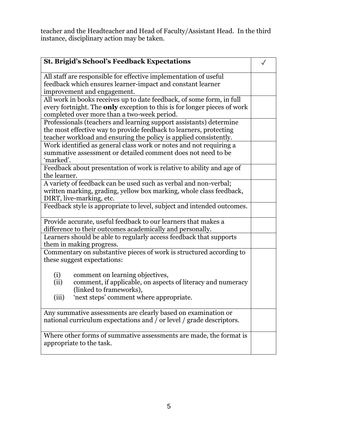teacher and the Headteacher and Head of Faculty/Assistant Head. In the third instance, disciplinary action may be taken.

| <b>St. Brigid's School's Feedback Expectations</b>                              |  |
|---------------------------------------------------------------------------------|--|
| All staff are responsible for effective implementation of useful                |  |
| feedback which ensures learner-impact and constant learner                      |  |
| improvement and engagement.                                                     |  |
| All work in books receives up to date feedback, of some form, in full           |  |
| every fortnight. The <b>only</b> exception to this is for longer pieces of work |  |
| completed over more than a two-week period.                                     |  |
| Professionals (teachers and learning support assistants) determine              |  |
| the most effective way to provide feedback to learners, protecting              |  |
| teacher workload and ensuring the policy is applied consistently.               |  |
| Work identified as general class work or notes and not requiring a              |  |
| summative assessment or detailed comment does not need to be                    |  |
| 'marked'.                                                                       |  |
| Feedback about presentation of work is relative to ability and age of           |  |
| the learner.                                                                    |  |
| A variety of feedback can be used such as verbal and non-verbal;                |  |
| written marking, grading, yellow box marking, whole class feedback,             |  |
| DIRT, live-marking, etc.                                                        |  |
| Feedback style is appropriate to level, subject and intended outcomes.          |  |
| Provide accurate, useful feedback to our learners that makes a                  |  |
| difference to their outcomes academically and personally.                       |  |
| Learners should be able to regularly access feedback that supports              |  |
| them in making progress.                                                        |  |
| Commentary on substantive pieces of work is structured according to             |  |
| these suggest expectations:                                                     |  |
|                                                                                 |  |
| (i)<br>comment on learning objectives,                                          |  |
| comment, if applicable, on aspects of literacy and numeracy<br>(ii)             |  |
| (linked to frameworks),                                                         |  |
| (iii)<br>'next steps' comment where appropriate.                                |  |
| Any summative assessments are clearly based on examination or                   |  |
| national curriculum expectations and / or level / grade descriptors.            |  |
| Where other forms of summative assessments are made, the format is              |  |
| appropriate to the task.                                                        |  |
|                                                                                 |  |